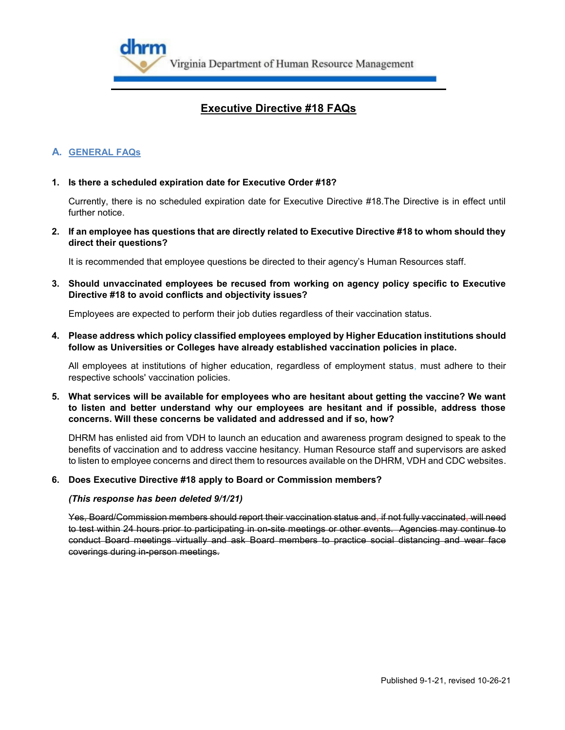

# **A. GENERAL FAQs**

## **1. Is there a scheduled expiration date for Executive Order #18?**

Currently, there is no scheduled expiration date for Executive Directive #18.The Directive is in effect until further notice

**2. If an employee has questions that are directly related to Executive Directive #18 to whom should they direct their questions?**

It is recommended that employee questions be directed to their agency's Human Resources staff.

**3. Should unvaccinated employees be recused from working on agency policy specific to Executive Directive #18 to avoid conflicts and objectivity issues?**

Employees are expected to perform their job duties regardless of their vaccination status.

**4. Please address which policy classified employees employed by Higher Education institutions should follow as Universities or Colleges have already established vaccination policies in place.**

All employees at institutions of higher education, regardless of employment status, must adhere to their respective schools' vaccination policies.

**5. What services will be available for employees who are hesitant about getting the vaccine? We want to listen and better understand why our employees are hesitant and if possible, address those concerns. Will these concerns be validated and addressed and if so, how?**

DHRM has enlisted aid from VDH to launch an education and awareness program designed to speak to the benefits of vaccination and to address vaccine hesitancy. Human Resource staff and supervisors are asked to listen to employee concerns and direct them to resources available on the DHRM, VDH and CDC websites.

#### **6. Does Executive Directive #18 apply to Board or Commission members?**

#### *(This response has been deleted 9/1/21)*

Yes, Board/Commission members should report their vaccination status and, if not fully vaccinated, will need to test within 24 hours prior to participating in on-site meetings or other events. Agencies may continue to conduct Board meetings virtually and ask Board members to practice social distancing and wear face coverings during in-person meetings.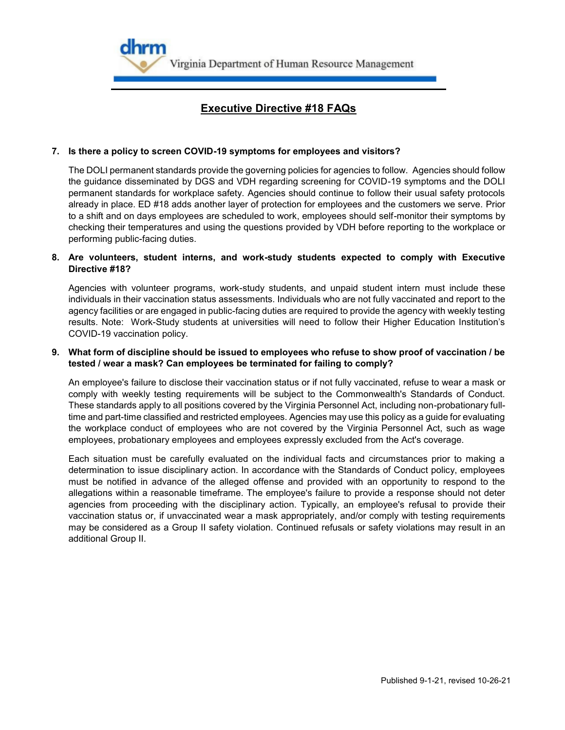

## **7. Is there a policy to screen COVID-19 symptoms for employees and visitors?**

The DOLI permanent standards provide the governing policies for agencies to follow. Agencies should follow the guidance disseminated by DGS and VDH regarding screening for COVID-19 symptoms and the DOLI permanent standards for workplace safety. Agencies should continue to follow their usual safety protocols already in place. ED #18 adds another layer of protection for employees and the customers we serve. Prior to a shift and on days employees are scheduled to work, employees should self-monitor their symptoms by checking their temperatures and using the questions provided by VDH before reporting to the workplace or performing public-facing duties.

## **8. Are volunteers, student interns, and work-study students expected to comply with Executive Directive #18?**

Agencies with volunteer programs, work-study students, and unpaid student intern must include these individuals in their vaccination status assessments. Individuals who are not fully vaccinated and report to the agency facilities or are engaged in public-facing duties are required to provide the agency with weekly testing results. Note: Work-Study students at universities will need to follow their Higher Education Institution's COVID-19 vaccination policy.

## **9. What form of discipline should be issued to employees who refuse to show proof of vaccination / be tested / wear a mask? Can employees be terminated for failing to comply?**

An employee's failure to disclose their vaccination status or if not fully vaccinated, refuse to wear a mask or comply with weekly testing requirements will be subject to the Commonwealth's Standards of Conduct. These standards apply to all positions covered by the Virginia Personnel Act, including non-probationary fulltime and part-time classified and restricted employees. Agencies may use this policy as a guide for evaluating the workplace conduct of employees who are not covered by the Virginia Personnel Act, such as wage employees, probationary employees and employees expressly excluded from the Act's coverage.

Each situation must be carefully evaluated on the individual facts and circumstances prior to making a determination to issue disciplinary action. In accordance with the Standards of Conduct policy, employees must be notified in advance of the alleged offense and provided with an opportunity to respond to the allegations within a reasonable timeframe. The employee's failure to provide a response should not deter agencies from proceeding with the disciplinary action. Typically, an employee's refusal to provide their vaccination status or, if unvaccinated wear a mask appropriately, and/or comply with testing requirements may be considered as a Group II safety violation. Continued refusals or safety violations may result in an additional Group II.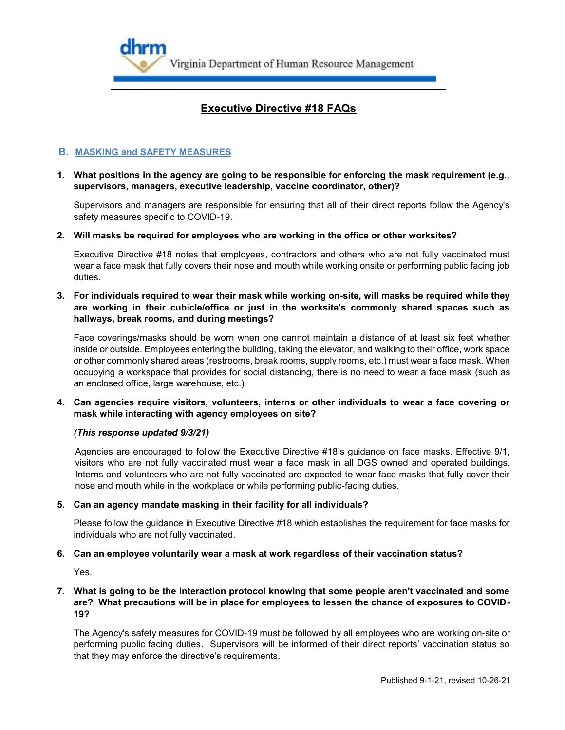

# **B. MASKING and SAFETY MEASURES**

**1. What positions in the agency are going to be responsible for enforcing the mask requirement (e.g., supervisors, managers, executive leadership, vaccine coordinator, other)?**

Supervisors and managers are responsible for ensuring that all of their direct reports follow the Agency's safety measures specific to COVID-19.

**2. Will masks be required for employees who are working in the office or other worksites?**

Executive Directive #18 notes that employees, contractors and others who are not fully vaccinated must wear a face mask that fully covers their nose and mouth while working onsite or performing public facing job duties.

**3. For individuals required to wear their mask while working on-site, will masks be required while they are working in their cubicle/office or just in the worksite's commonly shared spaces such as hallways, break rooms, and during meetings?**

Face coverings/masks should be worn when one cannot maintain a distance of at least six feet whether inside or outside. Employees entering the building, taking the elevator, and walking to their office, work space or other commonly shared areas (restrooms, break rooms, supply rooms, etc.) must wear a face mask. When occupying a workspace that provides for social distancing, there is no need to wear a face mask (such as an enclosed office, large warehouse, etc.)

**4. Can agencies require visitors, volunteers, interns or other individuals to wear a face covering or mask while interacting with agency employees on site?**

#### *(This response updated 9/3/21)*

Agencies are encouraged to follow the Executive Directive #18's guidance on face masks. Effective 9/1, visitors who are not fully vaccinated must wear a face mask in all DGS owned and operated buildings. Interns and volunteers who are not fully vaccinated are expected to wear face masks that fully cover their nose and mouth while in the workplace or while performing public-facing duties.

#### **5. Can an agency mandate masking in their facility for all individuals?**

Please follow the guidance in Executive Directive #18 which establishes the requirement for face masks for individuals who are not fully vaccinated.

#### **6. Can an employee voluntarily wear a mask at work regardless of their vaccination status?**

Yes.

# **7. What is going to be the interaction protocol knowing that some people aren't vaccinated and some are? What precautions will be in place for employees to lessen the chance of exposures to COVID-19?**

The Agency's safety measures for COVID-19 must be followed by all employees who are working on-site or performing public facing duties. Supervisors will be informed of their direct reports' vaccination status so that they may enforce the directive's requirements.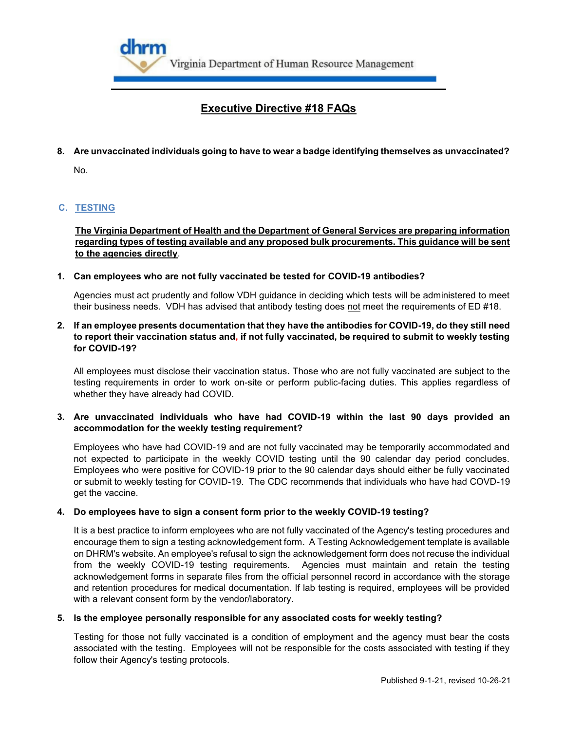

**8. Are unvaccinated individuals going to have to wear a badge identifying themselves as unvaccinated?**

No.

# **C. TESTING**

**The Virginia Department of Health and the Department of General Services are preparing information regarding types of testing available and any proposed bulk procurements. This guidance will be sent to the agencies directly**.

# **1. Can employees who are not fully vaccinated be tested for COVID-19 antibodies?**

Agencies must act prudently and follow VDH guidance in deciding which tests will be administered to meet their business needs. VDH has advised that antibody testing does not meet the requirements of ED #18.

# **2. If an employee presents documentation that they have the antibodies for COVID-19, do they still need to report their vaccination status and, if not fully vaccinated, be required to submit to weekly testing for COVID-19?**

All employees must disclose their vaccination status**.** Those who are not fully vaccinated are subject to the testing requirements in order to work on-site or perform public-facing duties. This applies regardless of whether they have already had COVID.

## **3. Are unvaccinated individuals who have had COVID-19 within the last 90 days provided an accommodation for the weekly testing requirement?**

Employees who have had COVID-19 and are not fully vaccinated may be temporarily accommodated and not expected to participate in the weekly COVID testing until the 90 calendar day period concludes. Employees who were positive for COVID-19 prior to the 90 calendar days should either be fully vaccinated or submit to weekly testing for COVID-19. The CDC recommends that individuals who have had COVD-19 get the vaccine.

# **4. Do employees have to sign a consent form prior to the weekly COVID-19 testing?**

It is a best practice to inform employees who are not fully vaccinated of the Agency's testing procedures and encourage them to sign a testing acknowledgement form. A Testing Acknowledgement template is available on DHRM's website. An employee's refusal to sign the acknowledgement form does not recuse the individual from the weekly COVID-19 testing requirements. Agencies must maintain and retain the testing acknowledgement forms in separate files from the official personnel record in accordance with the storage and retention procedures for medical documentation. If lab testing is required, employees will be provided with a relevant consent form by the vendor/laboratory.

# **5. Is the employee personally responsible for any associated costs for weekly testing?**

Testing for those not fully vaccinated is a condition of employment and the agency must bear the costs associated with the testing. Employees will not be responsible for the costs associated with testing if they follow their Agency's testing protocols.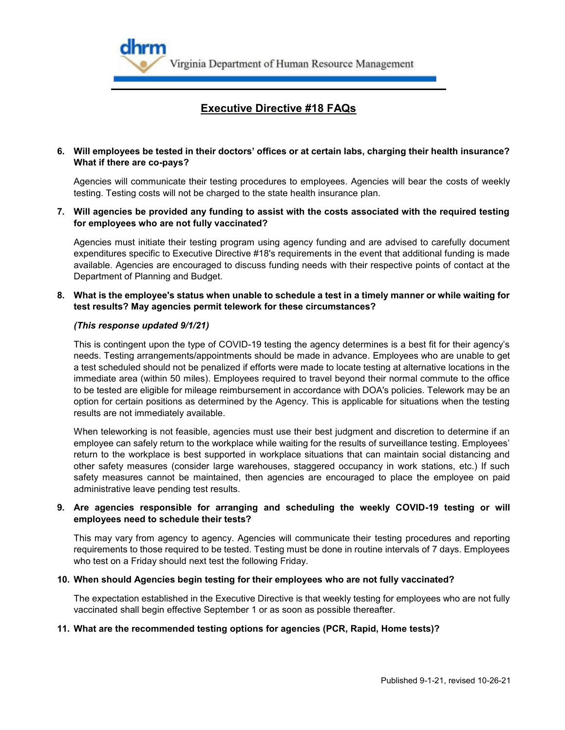

# **6. Will employees be tested in their doctors' offices or at certain labs, charging their health insurance? What if there are co-pays?**

Agencies will communicate their testing procedures to employees. Agencies will bear the costs of weekly testing. Testing costs will not be charged to the state health insurance plan.

**7. Will agencies be provided any funding to assist with the costs associated with the required testing for employees who are not fully vaccinated?**

Agencies must initiate their testing program using agency funding and are advised to carefully document expenditures specific to Executive Directive #18's requirements in the event that additional funding is made available. Agencies are encouraged to discuss funding needs with their respective points of contact at the Department of Planning and Budget.

### **8. What is the employee's status when unable to schedule a test in a timely manner or while waiting for test results? May agencies permit telework for these circumstances?**

#### *(This response updated 9/1/21)*

This is contingent upon the type of COVID-19 testing the agency determines is a best fit for their agency's needs. Testing arrangements/appointments should be made in advance. Employees who are unable to get a test scheduled should not be penalized if efforts were made to locate testing at alternative locations in the immediate area (within 50 miles). Employees required to travel beyond their normal commute to the office to be tested are eligible for mileage reimbursement in accordance with DOA's policies. Telework may be an option for certain positions as determined by the Agency. This is applicable for situations when the testing results are not immediately available.

When teleworking is not feasible, agencies must use their best judgment and discretion to determine if an employee can safely return to the workplace while waiting for the results of surveillance testing. Employees' return to the workplace is best supported in workplace situations that can maintain social distancing and other safety measures (consider large warehouses, staggered occupancy in work stations, etc.) If such safety measures cannot be maintained, then agencies are encouraged to place the employee on paid administrative leave pending test results.

## **9. Are agencies responsible for arranging and scheduling the weekly COVID-19 testing or will employees need to schedule their tests?**

This may vary from agency to agency. Agencies will communicate their testing procedures and reporting requirements to those required to be tested. Testing must be done in routine intervals of 7 days. Employees who test on a Friday should next test the following Friday.

#### **10. When should Agencies begin testing for their employees who are not fully vaccinated?**

The expectation established in the Executive Directive is that weekly testing for employees who are not fully vaccinated shall begin effective September 1 or as soon as possible thereafter.

#### **11. What are the recommended testing options for agencies (PCR, Rapid, Home tests)?**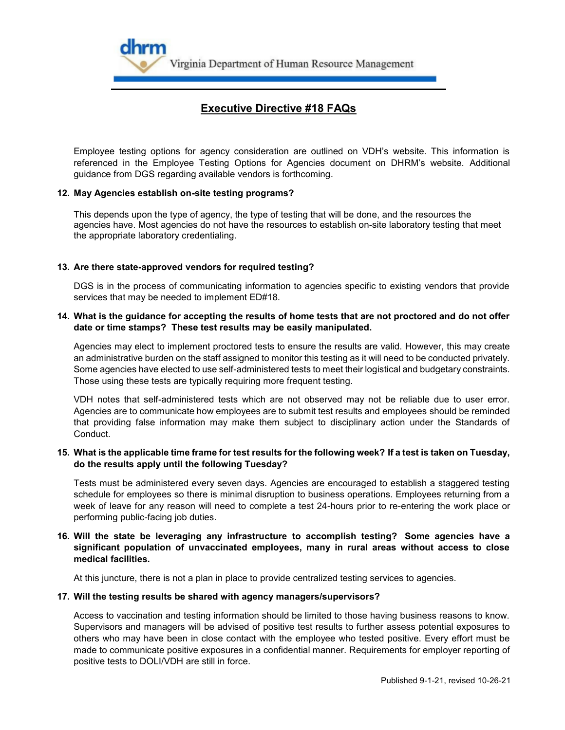

Employee testing options for agency consideration are outlined on VDH's website. This information is referenced in the Employee Testing Options for Agencies document on DHRM's website. Additional guidance from DGS regarding available vendors is forthcoming.

## **12. May Agencies establish on-site testing programs?**

This depends upon the type of agency, the type of testing that will be done, and the resources the agencies have. Most agencies do not have the resources to establish on-site laboratory testing that meet the appropriate laboratory credentialing.

## **13. Are there state-approved vendors for required testing?**

DGS is in the process of communicating information to agencies specific to existing vendors that provide services that may be needed to implement ED#18.

### **14. What is the guidance for accepting the results of home tests that are not proctored and do not offer date or time stamps? These test results may be easily manipulated.**

Agencies may elect to implement proctored tests to ensure the results are valid. However, this may create an administrative burden on the staff assigned to monitor this testing as it will need to be conducted privately. Some agencies have elected to use self-administered tests to meet their logistical and budgetary constraints. Those using these tests are typically requiring more frequent testing.

VDH notes that self-administered tests which are not observed may not be reliable due to user error. Agencies are to communicate how employees are to submit test results and employees should be reminded that providing false information may make them subject to disciplinary action under the Standards of Conduct.

#### **15. What is the applicable time frame for test results for the following week? If a test is taken on Tuesday, do the results apply until the following Tuesday?**

Tests must be administered every seven days. Agencies are encouraged to establish a staggered testing schedule for employees so there is minimal disruption to business operations. Employees returning from a week of leave for any reason will need to complete a test 24-hours prior to re-entering the work place or performing public-facing job duties.

# **16. Will the state be leveraging any infrastructure to accomplish testing? Some agencies have a significant population of unvaccinated employees, many in rural areas without access to close medical facilities.**

At this juncture, there is not a plan in place to provide centralized testing services to agencies.

#### **17. Will the testing results be shared with agency managers/supervisors?**

Access to vaccination and testing information should be limited to those having business reasons to know. Supervisors and managers will be advised of positive test results to further assess potential exposures to others who may have been in close contact with the employee who tested positive. Every effort must be made to communicate positive exposures in a confidential manner. Requirements for employer reporting of positive tests to DOLI/VDH are still in force.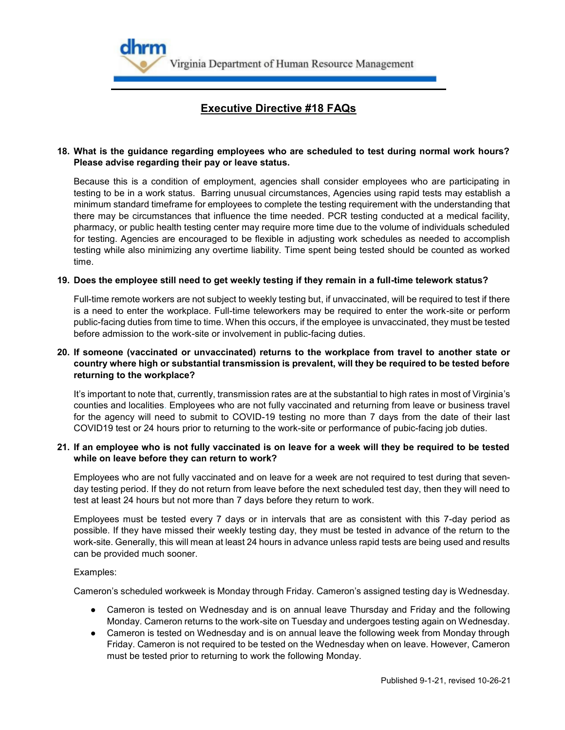

# **18. What is the guidance regarding employees who are scheduled to test during normal work hours? Please advise regarding their pay or leave status.**

Because this is a condition of employment, agencies shall consider employees who are participating in testing to be in a work status. Barring unusual circumstances, Agencies using rapid tests may establish a minimum standard timeframe for employees to complete the testing requirement with the understanding that there may be circumstances that influence the time needed. PCR testing conducted at a medical facility, pharmacy, or public health testing center may require more time due to the volume of individuals scheduled for testing. Agencies are encouraged to be flexible in adjusting work schedules as needed to accomplish testing while also minimizing any overtime liability. Time spent being tested should be counted as worked time.

#### **19. Does the employee still need to get weekly testing if they remain in a full-time telework status?**

Full-time remote workers are not subject to weekly testing but, if unvaccinated, will be required to test if there is a need to enter the workplace. Full-time teleworkers may be required to enter the work-site or perform public-facing duties from time to time. When this occurs, if the employee is unvaccinated, they must be tested before admission to the work-site or involvement in public-facing duties.

# **20. If someone (vaccinated or unvaccinated) returns to the workplace from travel to another state or country where high or substantial transmission is prevalent, will they be required to be tested before returning to the workplace?**

It's important to note that, currently, transmission rates are at the substantial to high rates in most of Virginia's counties and localities. Employees who are not fully vaccinated and returning from leave or business travel for the agency will need to submit to COVID-19 testing no more than 7 days from the date of their last COVID19 test or 24 hours prior to returning to the work-site or performance of pubic-facing job duties.

## **21. If an employee who is not fully vaccinated is on leave for a week will they be required to be tested while on leave before they can return to work?**

Employees who are not fully vaccinated and on leave for a week are not required to test during that sevenday testing period. If they do not return from leave before the next scheduled test day, then they will need to test at least 24 hours but not more than 7 days before they return to work.

Employees must be tested every 7 days or in intervals that are as consistent with this 7-day period as possible. If they have missed their weekly testing day, they must be tested in advance of the return to the work-site. Generally, this will mean at least 24 hours in advance unless rapid tests are being used and results can be provided much sooner.

#### Examples:

Cameron's scheduled workweek is Monday through Friday. Cameron's assigned testing day is Wednesday.

- Cameron is tested on Wednesday and is on annual leave Thursday and Friday and the following Monday. Cameron returns to the work-site on Tuesday and undergoes testing again on Wednesday.
- Cameron is tested on Wednesday and is on annual leave the following week from Monday through Friday. Cameron is not required to be tested on the Wednesday when on leave. However, Cameron must be tested prior to returning to work the following Monday.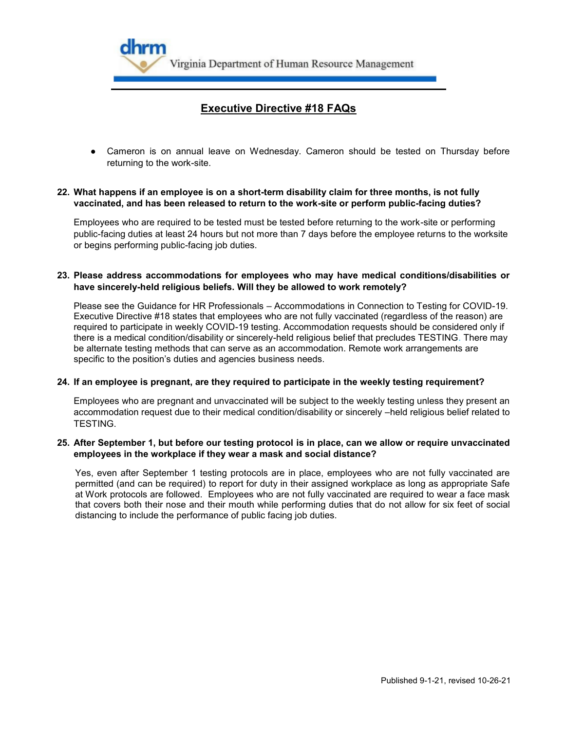

● Cameron is on annual leave on Wednesday. Cameron should be tested on Thursday before returning to the work-site.

# **22. What happens if an employee is on a short-term disability claim for three months, is not fully vaccinated, and has been released to return to the work-site or perform public-facing duties?**

Employees who are required to be tested must be tested before returning to the work-site or performing public-facing duties at least 24 hours but not more than 7 days before the employee returns to the worksite or begins performing public-facing job duties.

## **23. Please address accommodations for employees who may have medical conditions/disabilities or have sincerely-held religious beliefs. Will they be allowed to work remotely?**

Please see the Guidance for HR Professionals – Accommodations in Connection to Testing for COVID-19. Executive Directive #18 states that employees who are not fully vaccinated (regardless of the reason) are required to participate in weekly COVID-19 testing. Accommodation requests should be considered only if there is a medical condition/disability or sincerely-held religious belief that precludes TESTING. There may be alternate testing methods that can serve as an accommodation. Remote work arrangements are specific to the position's duties and agencies business needs.

#### **24. If an employee is pregnant, are they required to participate in the weekly testing requirement?**

Employees who are pregnant and unvaccinated will be subject to the weekly testing unless they present an accommodation request due to their medical condition/disability or sincerely –held religious belief related to TESTING.

#### **25. After September 1, but before our testing protocol is in place, can we allow or require unvaccinated employees in the workplace if they wear a mask and social distance?**

Yes, even after September 1 testing protocols are in place, employees who are not fully vaccinated are permitted (and can be required) to report for duty in their assigned workplace as long as appropriate Safe at Work protocols are followed. Employees who are not fully vaccinated are required to wear a face mask that covers both their nose and their mouth while performing duties that do not allow for six feet of social distancing to include the performance of public facing job duties.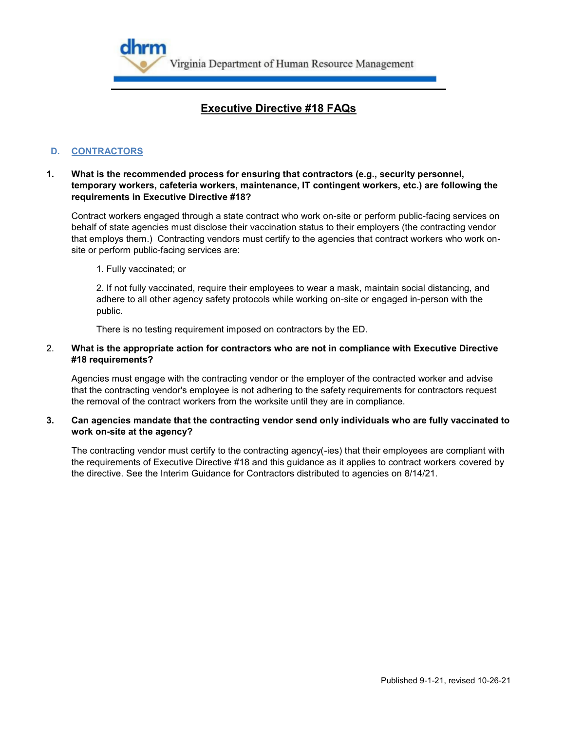

# **D. CONTRACTORS**

# **1. What is the recommended process for ensuring that contractors (e.g., security personnel, temporary workers, cafeteria workers, maintenance, IT contingent workers, etc.) are following the requirements in Executive Directive #18?**

Contract workers engaged through a state contract who work on-site or perform public-facing services on behalf of state agencies must disclose their vaccination status to their employers (the contracting vendor that employs them.) Contracting vendors must certify to the agencies that contract workers who work onsite or perform public-facing services are:

1. Fully vaccinated; or

2. If not fully vaccinated, require their employees to wear a mask, maintain social distancing, and adhere to all other agency safety protocols while working on-site or engaged in-person with the public.

There is no testing requirement imposed on contractors by the ED.

# 2. **What is the appropriate action for contractors who are not in compliance with Executive Directive #18 requirements?**

Agencies must engage with the contracting vendor or the employer of the contracted worker and advise that the contracting vendor's employee is not adhering to the safety requirements for contractors request the removal of the contract workers from the worksite until they are in compliance.

## **3. Can agencies mandate that the contracting vendor send only individuals who are fully vaccinated to work on-site at the agency?**

The contracting vendor must certify to the contracting agency(-ies) that their employees are compliant with the requirements of Executive Directive #18 and this guidance as it applies to contract workers covered by the directive. See the Interim Guidance for Contractors distributed to agencies on 8/14/21.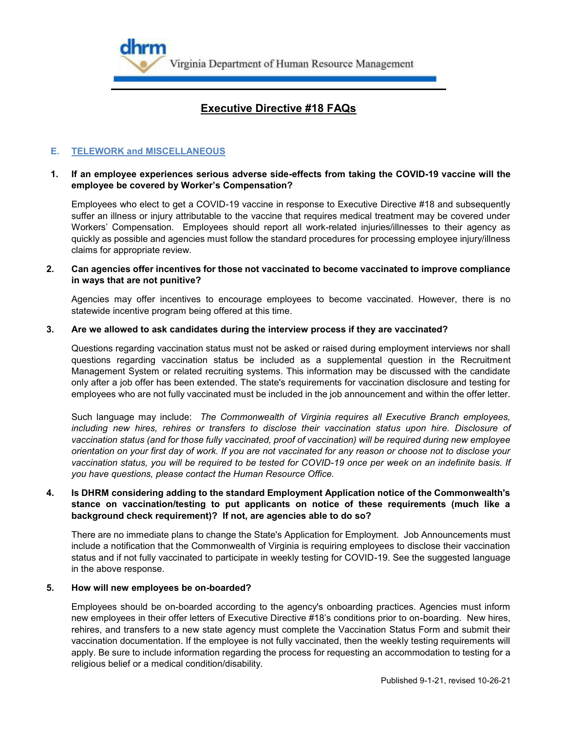

# **E. TELEWORK and MISCELLANEOUS**

# **1. If an employee experiences serious adverse side-effects from taking the COVID-19 vaccine will the employee be covered by Worker's Compensation?**

Employees who elect to get a COVID-19 vaccine in response to Executive Directive #18 and subsequently suffer an illness or injury attributable to the vaccine that requires medical treatment may be covered under Workers' Compensation. Employees should report all work-related injuries/illnesses to their agency as quickly as possible and agencies must follow the standard procedures for processing employee injury/illness claims for appropriate review.

## **2. Can agencies offer incentives for those not vaccinated to become vaccinated to improve compliance in ways that are not punitive?**

Agencies may offer incentives to encourage employees to become vaccinated. However, there is no statewide incentive program being offered at this time.

#### **3. Are we allowed to ask candidates during the interview process if they are vaccinated?**

Questions regarding vaccination status must not be asked or raised during employment interviews nor shall questions regarding vaccination status be included as a supplemental question in the Recruitment Management System or related recruiting systems. This information may be discussed with the candidate only after a job offer has been extended. The state's requirements for vaccination disclosure and testing for employees who are not fully vaccinated must be included in the job announcement and within the offer letter.

Such language may include: *The Commonwealth of Virginia requires all Executive Branch employees,*  including new hires, rehires or transfers to disclose their vaccination status upon hire. Disclosure of *vaccination status (and for those fully vaccinated, proof of vaccination) will be required during new employee orientation on your first day of work. If you are not vaccinated for any reason or choose not to disclose your vaccination status, you will be required to be tested for COVID-19 once per week on an indefinite basis. If you have questions, please contact the Human Resource Office.*

### **4. Is DHRM considering adding to the standard Employment Application notice of the Commonwealth's stance on vaccination/testing to put applicants on notice of these requirements (much like a background check requirement)? If not, are agencies able to do so?**

There are no immediate plans to change the State's Application for Employment. Job Announcements must include a notification that the Commonwealth of Virginia is requiring employees to disclose their vaccination status and if not fully vaccinated to participate in weekly testing for COVID-19. See the suggested language in the above response.

## **5. How will new employees be on-boarded?**

Employees should be on-boarded according to the agency's onboarding practices. Agencies must inform new employees in their offer letters of Executive Directive #18's conditions prior to on-boarding. New hires, rehires, and transfers to a new state agency must complete the Vaccination Status Form and submit their vaccination documentation. If the employee is not fully vaccinated, then the weekly testing requirements will apply. Be sure to include information regarding the process for requesting an accommodation to testing for a religious belief or a medical condition/disability.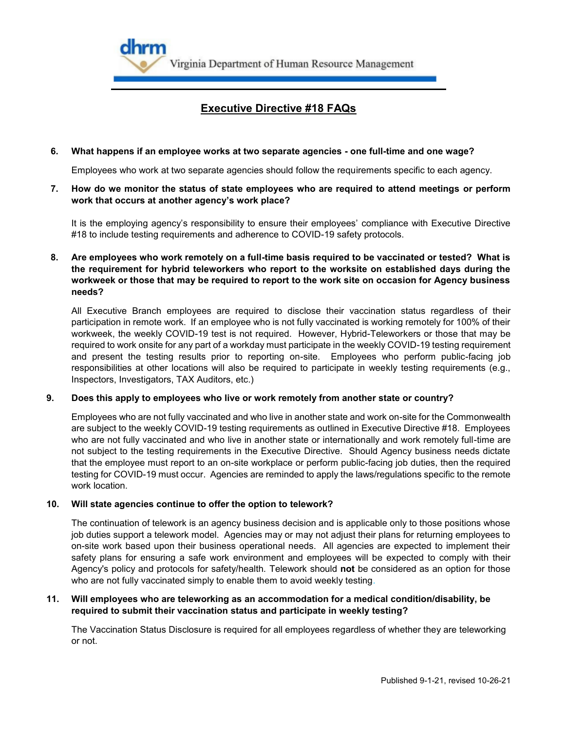

## **6. What happens if an employee works at two separate agencies - one full-time and one wage?**

Employees who work at two separate agencies should follow the requirements specific to each agency.

**7. How do we monitor the status of state employees who are required to attend meetings or perform work that occurs at another agency's work place?** 

It is the employing agency's responsibility to ensure their employees' compliance with Executive Directive #18 to include testing requirements and adherence to COVID-19 safety protocols.

**8. Are employees who work remotely on a full-time basis required to be vaccinated or tested? What is the requirement for hybrid teleworkers who report to the worksite on established days during the workweek or those that may be required to report to the work site on occasion for Agency business needs?**

All Executive Branch employees are required to disclose their vaccination status regardless of their participation in remote work. If an employee who is not fully vaccinated is working remotely for 100% of their workweek, the weekly COVID-19 test is not required. However, Hybrid-Teleworkers or those that may be required to work onsite for any part of a workday must participate in the weekly COVID-19 testing requirement and present the testing results prior to reporting on-site. Employees who perform public-facing job responsibilities at other locations will also be required to participate in weekly testing requirements (e.g., Inspectors, Investigators, TAX Auditors, etc.)

#### **9. Does this apply to employees who live or work remotely from another state or country?**

Employees who are not fully vaccinated and who live in another state and work on-site for the Commonwealth are subject to the weekly COVID-19 testing requirements as outlined in Executive Directive #18. Employees who are not fully vaccinated and who live in another state or internationally and work remotely full-time are not subject to the testing requirements in the Executive Directive. Should Agency business needs dictate that the employee must report to an on-site workplace or perform public-facing job duties, then the required testing for COVID-19 must occur. Agencies are reminded to apply the laws/regulations specific to the remote work location.

#### **10. Will state agencies continue to offer the option to telework?**

The continuation of telework is an agency business decision and is applicable only to those positions whose job duties support a telework model. Agencies may or may not adjust their plans for returning employees to on-site work based upon their business operational needs. All agencies are expected to implement their safety plans for ensuring a safe work environment and employees will be expected to comply with their Agency's policy and protocols for safety/health. Telework should **not** be considered as an option for those who are not fully vaccinated simply to enable them to avoid weekly testing.

## **11. Will employees who are teleworking as an accommodation for a medical condition/disability, be required to submit their vaccination status and participate in weekly testing?**

The Vaccination Status Disclosure is required for all employees regardless of whether they are teleworking or not.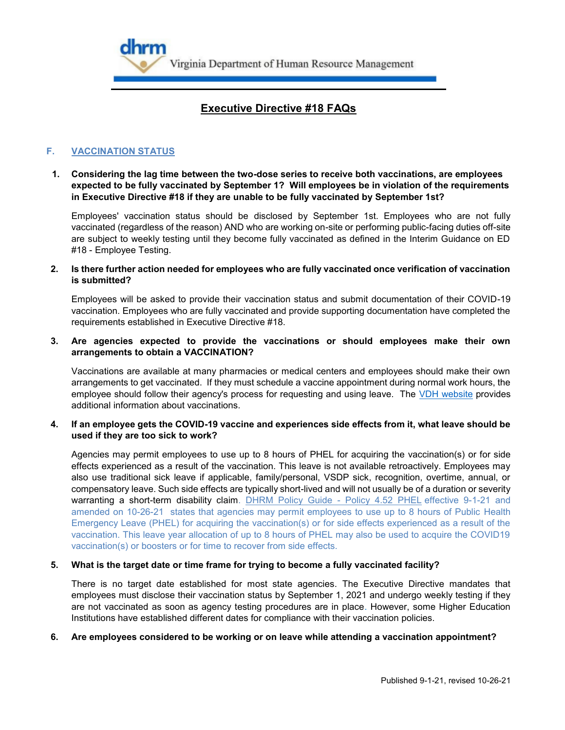

# **F. VACCINATION STATUS**

**1. Considering the lag time between the two-dose series to receive both vaccinations, are employees expected to be fully vaccinated by September 1? Will employees be in violation of the requirements in Executive Directive #18 if they are unable to be fully vaccinated by September 1st?**

Employees' vaccination status should be disclosed by September 1st. Employees who are not fully vaccinated (regardless of the reason) AND who are working on-site or performing public-facing duties off-site are subject to weekly testing until they become fully vaccinated as defined in the Interim Guidance on ED #18 - Employee Testing.

## **2. Is there further action needed for employees who are fully vaccinated once verification of vaccination is submitted?**

Employees will be asked to provide their vaccination status and submit documentation of their COVID-19 vaccination. Employees who are fully vaccinated and provide supporting documentation have completed the requirements established in Executive Directive #18.

#### **3. Are agencies expected to provide the vaccinations or should employees make their own arrangements to obtain a VACCINATION?**

Vaccinations are available at many pharmacies or medical centers and employees should make their own arrangements to get vaccinated. If they must schedule a vaccine appointment during normal work hours, the employee should follow their agency's process for requesting and using leave. The [VDH website](https://www.vdh.virginia.gov/covid-19-faq/vaccination/) provides additional information about vaccinations.

## **4. If an employee gets the COVID-19 vaccine and experiences side effects from it, what leave should be used if they are too sick to work?**

Agencies may permit employees to use up to 8 hours of PHEL for acquiring the vaccination(s) or for side effects experienced as a result of the vaccination. This leave is not available retroactively. Employees may also use traditional sick leave if applicable, family/personal, VSDP sick, recognition, overtime, annual, or compensatory leave. Such side effects are typically short-lived and will not usually be of a duration or severity warranting a short-term disability claim. [DHRM Policy Guide -](https://lnks.gd/l/eyJhbGciOiJIUzI1NiJ9.eyJidWxsZXRpbl9saW5rX2lkIjoxMDYsInVyaSI6ImJwMjpjbGljayIsImJ1bGxldGluX2lkIjoiMjAyMTEwMjcuNDc5NjIyNTEiLCJ1cmwiOiJodHRwczovL3d3dy5kaHJtLnZpcmdpbmlhLmdvdi9kb2NzL2RlZmF1bHQtc291cmNlL2NvdmlkLTE5L3BvbGljeS1ndWlkZS0tLXBvbGljeS00LTUyLXB1YmxpYy1oZWFsdGgtZW1lcmdlbmN5LWxlYXZlLWFwcGxpY2F0aW9uLXRvLWNvdmlkLTE5LWV2ZW50LXJldjEwMjYyMS5wZGYifQ.8gWr3Ooe8ySsEjUafhNa2_GXFZHz4UkdE3s9UoaKvgw/s/1263007291/br/114708815994-l) Policy 4.52 PHEL effective 9-1-21 and amended on 10-26-21 states that agencies may permit employees to use up to 8 hours of Public Health Emergency Leave (PHEL) for acquiring the vaccination(s) or for side effects experienced as a result of the vaccination. This leave year allocation of up to 8 hours of PHEL may also be used to acquire the COVID19 vaccination(s) or boosters or for time to recover from side effects.

#### **5. What is the target date or time frame for trying to become a fully vaccinated facility?**

There is no target date established for most state agencies. The Executive Directive mandates that employees must disclose their vaccination status by September 1, 2021 and undergo weekly testing if they are not vaccinated as soon as agency testing procedures are in place. However, some Higher Education Institutions have established different dates for compliance with their vaccination policies.

#### **6. Are employees considered to be working or on leave while attending a vaccination appointment?**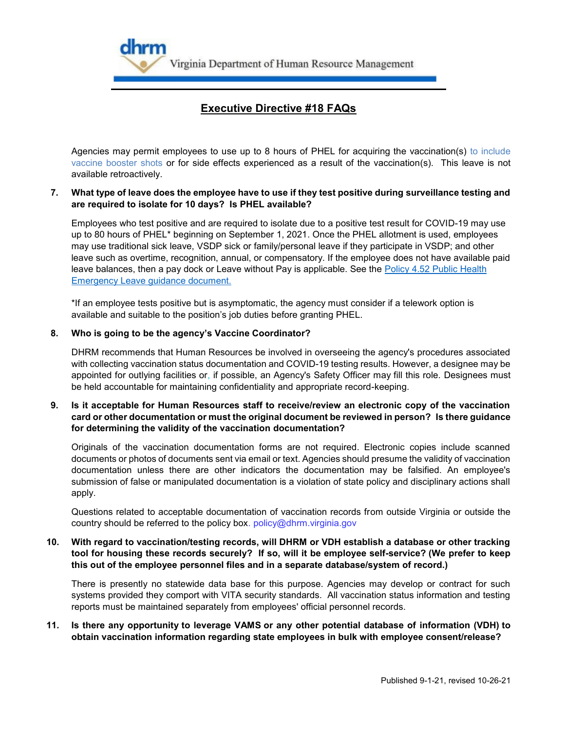

Agencies may permit employees to use up to 8 hours of PHEL for acquiring the vaccination(s) to include vaccine booster shots or for side effects experienced as a result of the vaccination(s). This leave is not available retroactively.

## **7. What type of leave does the employee have to use if they test positive during surveillance testing and are required to isolate for 10 days? Is PHEL available?**

Employees who test positive and are required to isolate due to a positive test result for COVID-19 may use up to 80 hours of PHEL\* beginning on September 1, 2021. Once the PHEL allotment is used, employees may use traditional sick leave, VSDP sick or family/personal leave if they participate in VSDP; and other leave such as overtime, recognition, annual, or compensatory. If the employee does not have available paid leave balances, then a pay dock or Leave without Pay is applicable. See the Policy 4.52 Public Health [Emergency Leave guidance document.](https://www.dhrm.virginia.gov/docs/default-source/covid-19/policyguide-policy4-52publichealthemergencyleaveapplicationtocovid-19event-8-15-21.pdf)

\*If an employee tests positive but is asymptomatic, the agency must consider if a telework option is available and suitable to the position's job duties before granting PHEL.

## **8. Who is going to be the agency's Vaccine Coordinator?**

DHRM recommends that Human Resources be involved in overseeing the agency's procedures associated with collecting vaccination status documentation and COVID-19 testing results. However, a designee may be appointed for outlying facilities or, if possible, an Agency's Safety Officer may fill this role. Designees must be held accountable for maintaining confidentiality and appropriate record-keeping.

# **9. Is it acceptable for Human Resources staff to receive/review an electronic copy of the vaccination card or other documentation or must the original document be reviewed in person? Is there guidance for determining the validity of the vaccination documentation?**

Originals of the vaccination documentation forms are not required. Electronic copies include scanned documents or photos of documents sent via email or text. Agencies should presume the validity of vaccination documentation unless there are other indicators the documentation may be falsified. An employee's submission of false or manipulated documentation is a violation of state policy and disciplinary actions shall apply.

Questions related to acceptable documentation of vaccination records from outside Virginia or outside the country should be referred to the policy box. policy@dhrm.virginia.gov

# **10. With regard to vaccination/testing records, will DHRM or VDH establish a database or other tracking tool for housing these records securely? If so, will it be employee self-service? (We prefer to keep this out of the employee personnel files and in a separate database/system of record.)**

There is presently no statewide data base for this purpose. Agencies may develop or contract for such systems provided they comport with VITA security standards. All vaccination status information and testing reports must be maintained separately from employees' official personnel records.

# **11. Is there any opportunity to leverage VAMS or any other potential database of information (VDH) to obtain vaccination information regarding state employees in bulk with employee consent/release?**